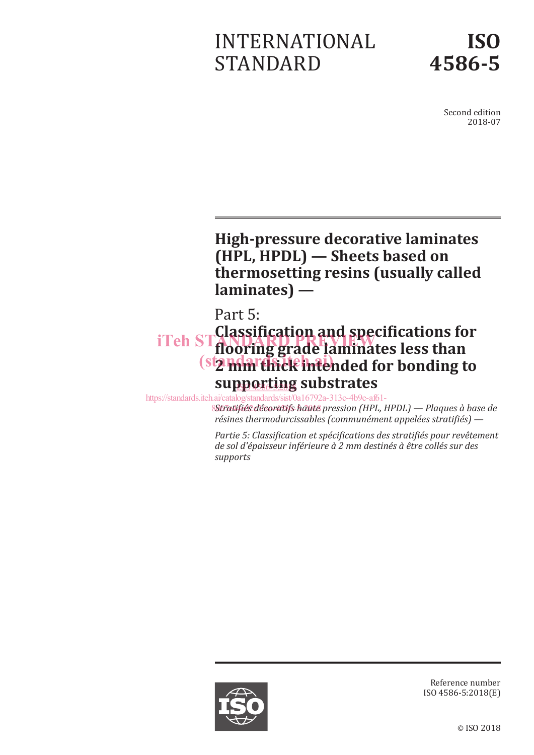# INTERNATIONAL STANDARD

Second edition 2018-07

# **High-pressure decorative laminates (HPL, HPDL) — Sheets based on thermosetting resins (usually called laminates) —**

# Part 5:

## **Classification and specifications for flooring grade laminates less than 2 mm thick intended for bonding to** su<u>pporting</u> substrates iTeh STANDARD PREVIEW

*Stratifiés décoratifs haute pression (HPL, HPDL) — Plaques à base de résines thermodurcissables (communément appelées stratifiés)*  https://standards.iteh.ai/catalog/standards/sist/0a16792a-313c-4b9e-af61-

> *Partie 5: Classification et spécifications des stratifiés pour revêtement de sol d'épaisseur inférieure à 2 mm destinés à être collés sur des supports*



Reference number ISO 4586-5:2018(E)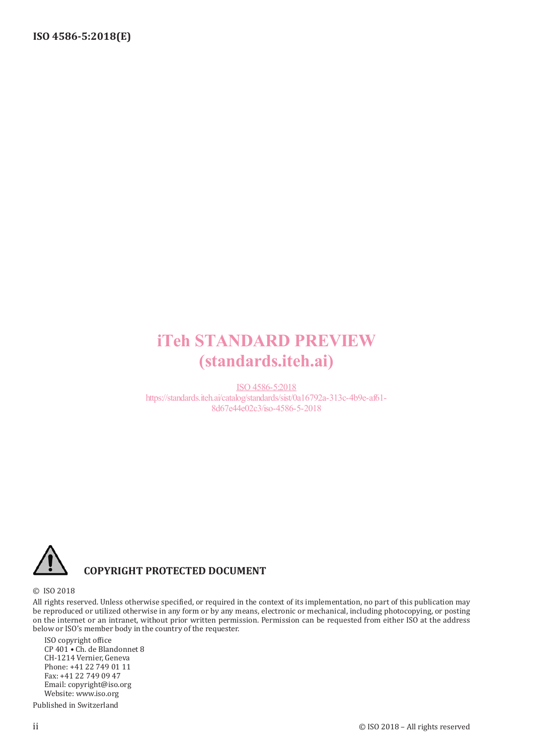# iTeh STANDARD PREVIEW (standards.iteh.ai)

ISO 4586-5:2018 https://standards.iteh.ai/catalog/standards/sist/0a16792a-313c-4b9e-af61- 8d67e44e02c3/iso-4586-5-2018



### **COPYRIGHT PROTECTED DOCUMENT**

#### © ISO 2018

All rights reserved. Unless otherwise specified, or required in the context of its implementation, no part of this publication may be reproduced or utilized otherwise in any form or by any means, electronic or mechanical, including photocopying, or posting on the internet or an intranet, without prior written permission. Permission can be requested from either ISO at the address below or ISO's member body in the country of the requester.

ISO copyright office CP 401 • Ch. de Blandonnet 8 CH-1214 Vernier, Geneva Phone: +41 22 749 01 11 Fax: +41 22 749 09 47 Email: copyright@iso.org Website: www.iso.org

Published in Switzerland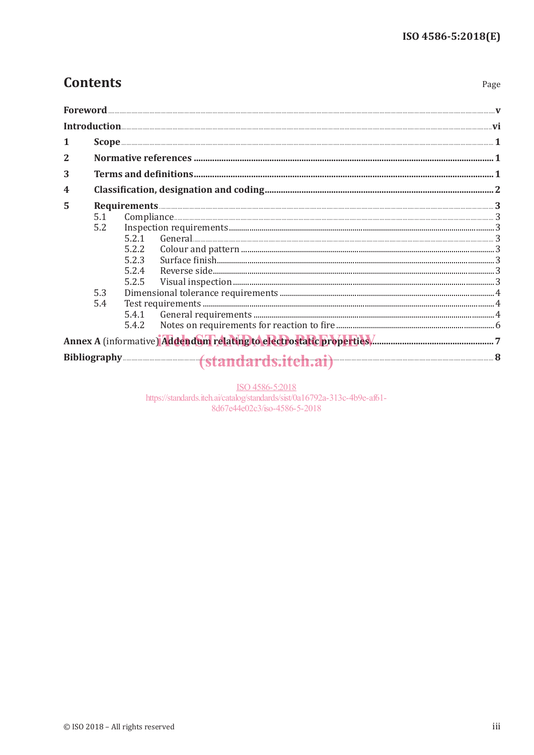Page

# **Contents**

|   | $\textbf{Scope} \texttt{} \texttt{} \texttt{} \texttt{} \texttt{} \texttt{} \texttt{} \texttt{} \texttt{} \texttt{} \texttt{} \texttt{} \texttt{} \texttt{} \texttt{} \texttt{} \texttt{} \texttt{} \texttt{} \texttt{} \texttt{} \texttt{} \texttt{} \texttt{} \texttt{} \texttt{} \texttt{} \texttt{} \texttt{} \texttt{} \texttt{} \texttt{} \texttt{} \texttt{} \texttt{} \texttt{$ |                                   |  |  |  |  |  |
|---|-----------------------------------------------------------------------------------------------------------------------------------------------------------------------------------------------------------------------------------------------------------------------------------------------------------------------------------------------------------------------------------------|-----------------------------------|--|--|--|--|--|
| 2 |                                                                                                                                                                                                                                                                                                                                                                                         |                                   |  |  |  |  |  |
| 3 |                                                                                                                                                                                                                                                                                                                                                                                         |                                   |  |  |  |  |  |
| 4 |                                                                                                                                                                                                                                                                                                                                                                                         |                                   |  |  |  |  |  |
| 5 | 5.1                                                                                                                                                                                                                                                                                                                                                                                     |                                   |  |  |  |  |  |
|   | 5.2                                                                                                                                                                                                                                                                                                                                                                                     |                                   |  |  |  |  |  |
|   |                                                                                                                                                                                                                                                                                                                                                                                         | 5.2.1                             |  |  |  |  |  |
|   |                                                                                                                                                                                                                                                                                                                                                                                         | 5.2.2                             |  |  |  |  |  |
|   |                                                                                                                                                                                                                                                                                                                                                                                         | 5.2.3                             |  |  |  |  |  |
|   |                                                                                                                                                                                                                                                                                                                                                                                         | 5.2.4                             |  |  |  |  |  |
|   |                                                                                                                                                                                                                                                                                                                                                                                         | 5.2.5                             |  |  |  |  |  |
|   | 5.3                                                                                                                                                                                                                                                                                                                                                                                     |                                   |  |  |  |  |  |
|   | 5.4                                                                                                                                                                                                                                                                                                                                                                                     |                                   |  |  |  |  |  |
|   |                                                                                                                                                                                                                                                                                                                                                                                         |                                   |  |  |  |  |  |
|   |                                                                                                                                                                                                                                                                                                                                                                                         | 5.4.2                             |  |  |  |  |  |
|   |                                                                                                                                                                                                                                                                                                                                                                                         |                                   |  |  |  |  |  |
|   |                                                                                                                                                                                                                                                                                                                                                                                         | Bibliography 36 and ards.itch.ai) |  |  |  |  |  |

ISO 4586-5:2018 https://standards.iteh.ai/catalog/standards/sist/0a16792a-313c-4b9e-af61-8d67e44e02c3/iso-4586-5-2018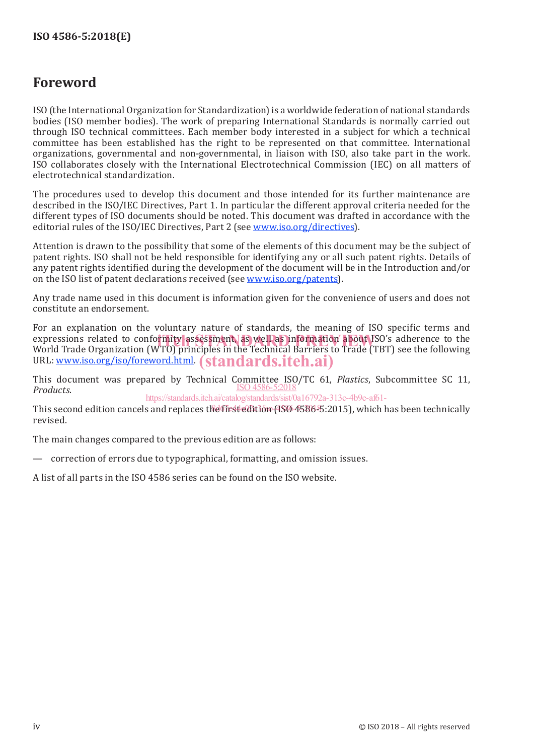## **Foreword**

ISO (the International Organization for Standardization) is a worldwide federation of national standards bodies (ISO member bodies). The work of preparing International Standards is normally carried out through ISO technical committees. Each member body interested in a subject for which a technical committee has been established has the right to be represented on that committee. International organizations, governmental and non-governmental, in liaison with ISO, also take part in the work. ISO collaborates closely with the International Electrotechnical Commission (IEC) on all matters of electrotechnical standardization.

The procedures used to develop this document and those intended for its further maintenance are described in the ISO/IEC Directives, Part 1. In particular the different approval criteria needed for the different types of ISO documents should be noted. This document was drafted in accordance with the editorial rules of the ISO/IEC Directives, Part 2 (see www.iso.org/directives).

Attention is drawn to the possibility that some of the elements of this document may be the subject of patent rights. ISO shall not be held responsible for identifying any or all such patent rights. Details of any patent rights identified during the development of the document will be in the Introduction and/or on the ISO list of patent declarations received (see www.iso.org/patents).

Any trade name used in this document is information given for the convenience of users and does not constitute an endorsement.

For an explanation on the voluntary nature of standards, the meaning of ISO specific terms and expressions related to conformity assessment, as well as information about ISO's adherence to the<br>World Trade Organization (WTO) principles in the Technical Barriers to Trade (TBT) see the following World Trade Organization (WTO) principles in the Technical Barriers to Trade (TBT) see the following URL: <u>www.iso.org/iso/foreword.html</u>. (standards.iteh.ai)

This document was prepared by Technical Committee ISO/TC 61, *Plastics*, Subcommittee SC 11, *Products*. ISO 4586-5:2018

https://standards.iteh.ai/catalog/standards/sist/0a16792a-313c-4b9e-af61-

This second edition cancels and replaces the first edition (1SO 4586-5:2015), which has been technically revised.

The main changes compared to the previous edition are as follows:

— correction of errors due to typographical, formatting, and omission issues.

A list of all parts in the ISO 4586 series can be found on the ISO website.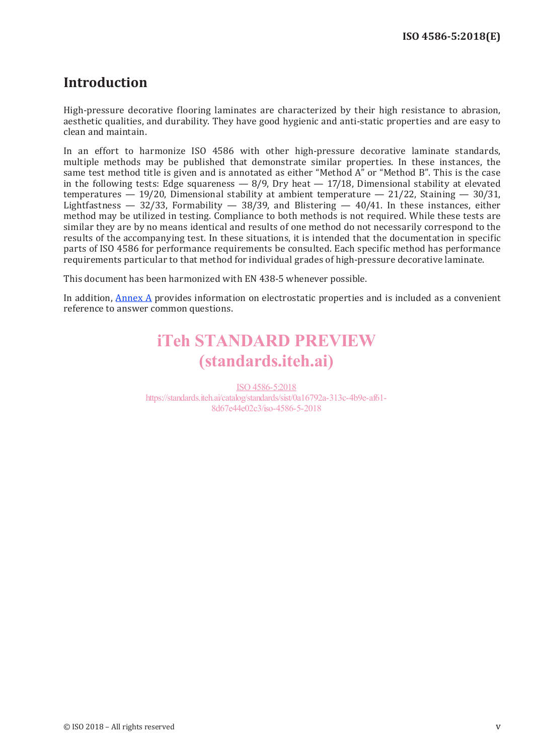## **Introduction**

High-pressure decorative flooring laminates are characterized by their high resistance to abrasion, aesthetic qualities, and durability. They have good hygienic and anti-static properties and are easy to clean and maintain.

In an effort to harmonize ISO 4586 with other high-pressure decorative laminate standards, multiple methods may be published that demonstrate similar properties. In these instances, the same test method title is given and is annotated as either "Method A" or "Method B". This is the case in the following tests: Edge squareness  $-$  8/9, Dry heat  $-$  17/18, Dimensional stability at elevated temperatures — 19/20, Dimensional stability at ambient temperature — 21/22, Staining — 30/31, Lightfastness — 32/33, Formability — 38/39, and Blistering — 40/41. In these instances, either method may be utilized in testing. Compliance to both methods is not required. While these tests are similar they are by no means identical and results of one method do not necessarily correspond to the results of the accompanying test. In these situations, it is intended that the documentation in specific parts of ISO 4586 for performance requirements be consulted. Each specific method has performance requirements particular to that method for individual grades of high-pressure decorative laminate.

This document has been harmonized with EN 438-5 whenever possible.

In addition, Annex A provides information on electrostatic properties and is included as a convenient reference to answer common questions.

# iTeh STANDARD PREVIEW (standards.iteh.ai)

ISO 4586-5:2018 https://standards.iteh.ai/catalog/standards/sist/0a16792a-313c-4b9e-af61- 8d67e44e02c3/iso-4586-5-2018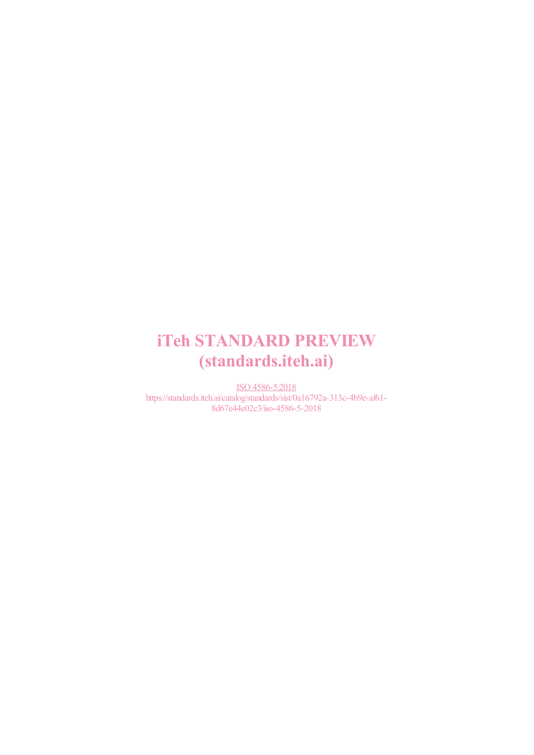# iTeh STANDARD PREVIEW (standards.iteh.ai)

ISO 4586-5:2018 https://standards.iteh.ai/catalog/standards/sist/0a16792a-313c-4b9e-af61- 8d67e44e02c3/iso-4586-5-2018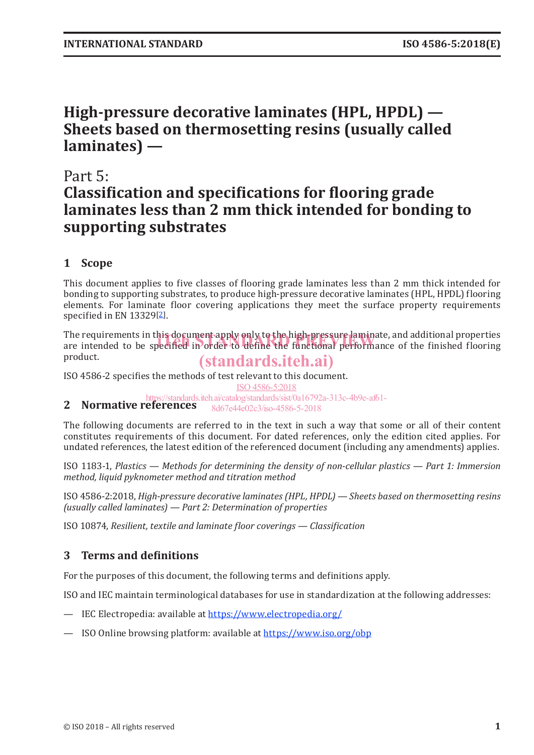# **High-pressure decorative laminates (HPL, HPDL) — Sheets based on thermosetting resins (usually called laminates) —**

## Part 5: **Classification and specifications for flooring grade laminates less than 2 mm thick intended for bonding to supporting substrates**

### **1 Scope**

This document applies to five classes of flooring grade laminates less than 2 mm thick intended for bonding to supporting substrates, to produce high-pressure decorative laminates (HPL, HPDL) flooring elements. For laminate floor covering applications they meet the surface property requirements specified in EN 13329[2].

The requirements in this document apply only to the high-pressure laminate, and additional properties The requirements in this document apply only to the high-pressure laminate, and additional properties<br>are intended to be specified in order to define the functional performance of the finished flooring product. (standards.iteh.ai)

ISO 4586-2 specifies the methods of test relevant to this document.

ISO 4586-5:2018

**2 Normative references https://standards.iteh.ai/catalog/standards/sist/0a16792a-313c-4b9e-af61-**8d67e44e02c3/iso-4586-5-2018

The following documents are referred to in the text in such a way that some or all of their content constitutes requirements of this document. For dated references, only the edition cited applies. For undated references, the latest edition of the referenced document (including any amendments) applies.

ISO 1183-1, *Plastics — Methods for determining the density of non-cellular plastics — Part 1: Immersion method, liquid pyknometer method and titration method*

ISO 4586-2:2018, *High-pressure decorative laminates (HPL, HPDL) — Sheets based on thermosetting resins (usually called laminates) — Part 2: Determination of properties*

ISO 10874, *Resilient, textile and laminate floor coverings — Classification*

### **3 Terms and definitions**

For the purposes of this document, the following terms and definitions apply.

ISO and IEC maintain terminological databases for use in standardization at the following addresses:

— IEC Electropedia: available at https://www.electropedia.org/

— ISO Online browsing platform: available at https://www.iso.org/obp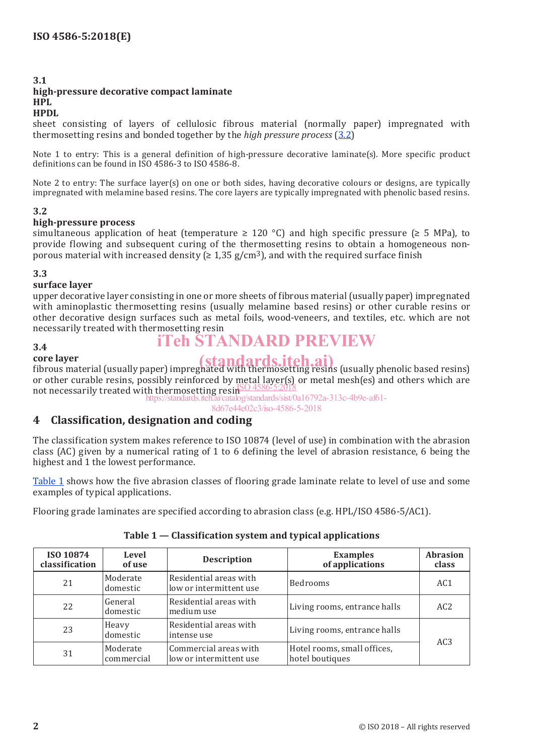### **3.1**

### **high-pressure decorative compact laminate**

## **HPL**

**HPDL** sheet consisting of layers of cellulosic fibrous material (normally paper) impregnated with thermosetting resins and bonded together by the *high pressure process* (3.2)

Note 1 to entry: This is a general definition of high-pressure decorative laminate(s). More specific product definitions can be found in ISO 4586-3 to ISO 4586-8.

Note 2 to entry: The surface layer(s) on one or both sides, having decorative colours or designs, are typically impregnated with melamine based resins. The core layers are typically impregnated with phenolic based resins.

#### **3.2**

#### **high-pressure process**

simultaneous application of heat (temperature  $\geq 120$  °C) and high specific pressure ( $\geq 5$  MPa), to provide flowing and subsequent curing of the thermosetting resins to obtain a homogeneous nonporous material with increased density ( $\geq 1.35$  g/cm<sup>3</sup>), and with the required surface finish

#### **3.3**

#### **surface layer**

upper decorative layer consisting in one or more sheets of fibrous material (usually paper) impregnated with aminoplastic thermosetting resins (usually melamine based resins) or other curable resins or other decorative design surfaces such as metal foils, wood-veneers, and textiles, etc. which are not necessarily treated with thermosetting resin

#### **3.4**

# iTeh STANDARD PREVIEW

**core layer** core layer<br>fibrous material (usually paper) impregnated with thermosetting resins (usually phenolic based resins) or other curable resins, possibly reinforced by metal layer(s) or metal mesh(es) and others which are <br>not necessarily treated with thermosetting resin<sup>SO 4586-52018</sup> not necessarily treated with thermosetting resin

 $\frac{1}{\catalog/standards/sist/0a16792a-313c-4b9e-af61-1}$ 

8d67e44e02c3/iso-4586-5-2018

### **4 Classification, designation and coding**

The classification system makes reference to ISO 10874 (level of use) in combination with the abrasion class (AC) given by a numerical rating of 1 to 6 defining the level of abrasion resistance, 6 being the highest and 1 the lowest performance.

Table 1 shows how the five abrasion classes of flooring grade laminate relate to level of use and some examples of typical applications.

Flooring grade laminates are specified according to abrasion class (e.g. HPL/ISO 4586‑5/AC1).

| ISO 10874<br>classification | Level<br>of use        | <b>Description</b>                                | <b>Examples</b><br>of applications             | <b>Abrasion</b><br>class |  |
|-----------------------------|------------------------|---------------------------------------------------|------------------------------------------------|--------------------------|--|
| 21                          | Moderate<br>domestic   | Residential areas with<br>low or intermittent use | Bedrooms                                       | AC <sub>1</sub>          |  |
| 22                          | General<br>domestic    | Residential areas with<br>medium use              | Living rooms, entrance halls                   | AC2                      |  |
| 23                          | Heavy<br>domestic      | Residential areas with<br>intense use             | Living rooms, entrance halls                   | AC3                      |  |
| 31                          | Moderate<br>commercial | Commercial areas with<br>low or intermittent use  | Hotel rooms, small offices,<br>hotel boutiques |                          |  |

#### **Table 1 — Classification system and typical applications**